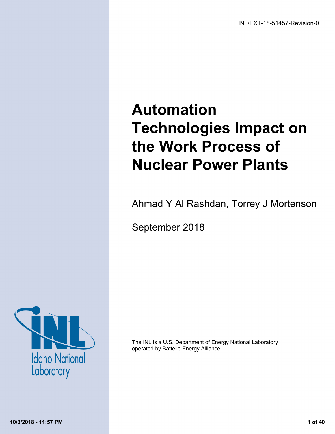# **Automation Technologies Impact on the Work Process of Nuclear Power Plants**

Ahmad Y Al Rashdan, Torrey J Mortenson

September 2018



The INL is <sup>a</sup> U.S. Department of Energy National Laboratory operated by Battelle Energy Alliance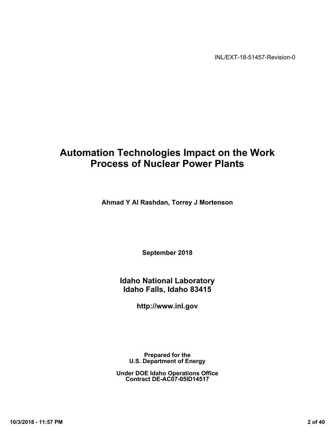INL/EXT-18-51457-Revision-0

# **Automation Technologies Impact on the Work Process of Nuclear Power Plants**

**Ahmad Y Al Rashdan, Torrey J Mortenson**

**September 2018**

**Idaho National Laboratory Idaho Falls, Idaho 83415**

**http://www.inl.gov**

**Prepared for the U.S. Department of Energy**

**Under DOE Idaho Operations Office Contract DE-AC07-05ID14517**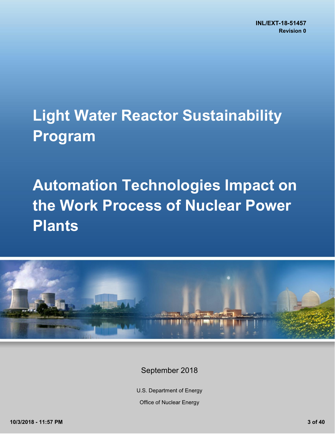# **Light Water Reactor Sustainability Program**

# **Automation Technologies Impact on the Work Process of Nuclear Power Plants**



# September 2018

U.S. Department of Energy

Office of Nuclear Energy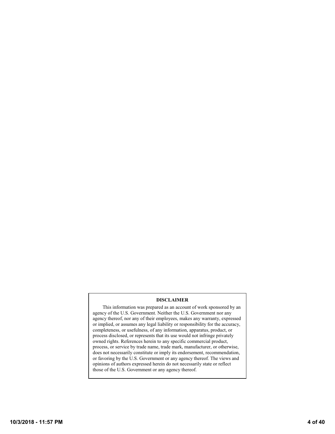#### **DISCLAIMER**

This information was prepared as an account of work sponsored by an agency of the U.S. Government. Neither the U.S. Government nor any agency thereof, nor any of their employees, makes any warranty, expressed or implied, or assumes any legal liability or responsibility for the accuracy, completeness, or usefulness, of any information, apparatus, product, or process disclosed, or represents that its use would not infringe privately owned rights. References herein to any specific commercial product, process, or service by trade name, trade mark, manufacturer, or otherwise, does not necessarily constitute or imply its endorsement, recommendation, or favoring by the U.S. Government or any agency thereof. The views and opinions of authors expressed herein do not necessarily state or reflect those of the U.S. Government or any agency thereof.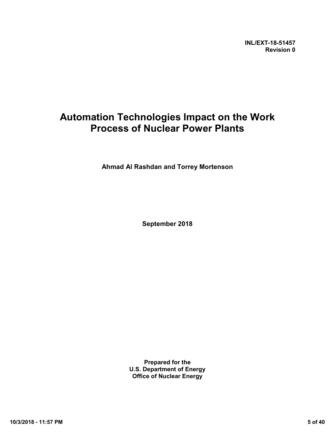**INL/EXT-18-51457 Revision 0** 

# **Automation Technologies Impact on the Work Process of Nuclear Power Plants**

**Ahmad Al Rashdan and Torrey Mortenson**

**September 2018**

**Prepared for the U.S. Department of Energy Office of Nuclear Energy**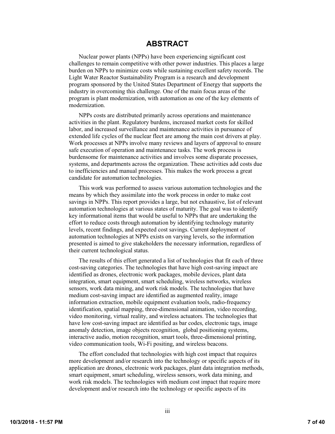## **ABSTRACT**

<span id="page-6-0"></span>Nuclear power plants (NPPs) have been experiencing significant cost challenges to remain competitive with other power industries. This places a large burden on NPPs to minimize costs while sustaining excellent safety records. The Light Water Reactor Sustainability Program is a research and development program sponsored by the United States Department of Energy that supports the industry in overcoming this challenge. One of the main focus areas of the program is plant modernization, with automation as one of the key elements of modernization.

NPPs costs are distributed primarily across operations and maintenance activities in the plant. Regulatory burdens, increased market costs for skilled labor, and increased surveillance and maintenance activities in pursuance of extended life cycles of the nuclear fleet are among the main cost drivers at play. Work processes at NPPs involve many reviews and layers of approval to ensure safe execution of operation and maintenance tasks. The work process is burdensome for maintenance activities and involves some disparate processes, systems, and departments across the organization. These activities add costs due to inefficiencies and manual processes. This makes the work process a great candidate for automation technologies.

This work was performed to assess various automation technologies and the means by which they assimilate into the work process in order to make cost savings in NPPs. This report provides a large, but not exhaustive, list of relevant automation technologies at various states of maturity. The goal was to identify key informational items that would be useful to NPPs that are undertaking the effort to reduce costs through automation by identifying technology maturity levels, recent findings, and expected cost savings. Current deployment of automation technologies at NPPs exists on varying levels, so the information presented is aimed to give stakeholders the necessary information, regardless of their current technological status.

The results of this effort generated a list of technologies that fit each of three cost-saving categories. The technologies that have high cost-saving impact are identified as drones, electronic work packages, mobile devices, plant data integration, smart equipment, smart scheduling, wireless networks, wireless sensors, work data mining, and work risk models. The technologies that have medium cost-saving impact are identified as augmented reality, image information extraction, mobile equipment evaluation tools, radio-frequency identification, spatial mapping, three-dimensional animation, video recording, video monitoring, virtual reality, and wireless actuators. The technologies that have low cost-saving impact are identified as bar codes, electronic tags, image anomaly detection, image objects recognition, global positioning systems, interactive audio, motion recognition, smart tools, three-dimensional printing, video communication tools, Wi-Fi positing, and wireless beacons.

The effort concluded that technologies with high cost impact that requires more development and/or research into the technology or specific aspects of its application are drones, electronic work packages, plant data integration methods, smart equipment, smart scheduling, wireless sensors, work data mining, and work risk models. The technologies with medium cost impact that require more development and/or research into the technology or specific aspects of its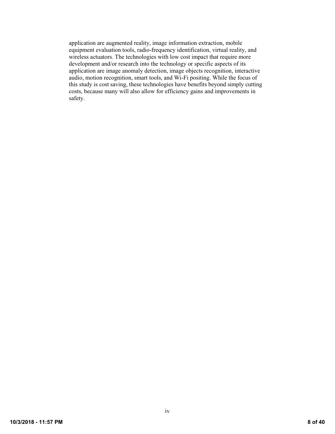application are augmented reality, image information extraction, mobile equipment evaluation tools, radio-frequency identification, virtual reality, and wireless actuators. The technologies with low cost impact that require more development and/or research into the technology or specific aspects of its application are image anomaly detection, image objects recognition, interactive audio, motion recognition, smart tools, and Wi-Fi positing. While the focus of this study is cost saving, these technologies have benefits beyond simply cutting costs, because many will also allow for efficiency gains and improvements in safety.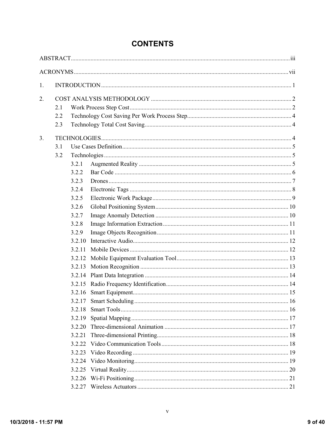| 1. |                   |        |  |
|----|-------------------|--------|--|
| 2. | 2.1<br>2.2<br>2.3 |        |  |
| 3. |                   |        |  |
|    | 3.1               |        |  |
|    | 3.2               |        |  |
|    |                   | 3.2.1  |  |
|    |                   | 3.2.2  |  |
|    |                   | 3.2.3  |  |
|    |                   | 3.2.4  |  |
|    |                   | 3.2.5  |  |
|    |                   | 3.2.6  |  |
|    |                   | 3.2.7  |  |
|    |                   | 3.2.8  |  |
|    |                   | 3.2.9  |  |
|    |                   | 3.2.10 |  |
|    |                   | 3.2.11 |  |
|    |                   | 3.2.12 |  |
|    |                   | 3.2.13 |  |
|    |                   | 3.2.14 |  |
|    |                   | 3.2.15 |  |
|    |                   | 3.2.16 |  |
|    |                   |        |  |
|    |                   |        |  |
|    |                   | 3.2.19 |  |
|    |                   | 3.2.20 |  |
|    |                   | 3.2.21 |  |
|    |                   | 3.2.22 |  |
|    |                   | 3.2.23 |  |
|    |                   | 3.2.24 |  |
|    |                   |        |  |
|    |                   | 3.2.26 |  |
|    |                   | 3.2.27 |  |

# **CONTENTS**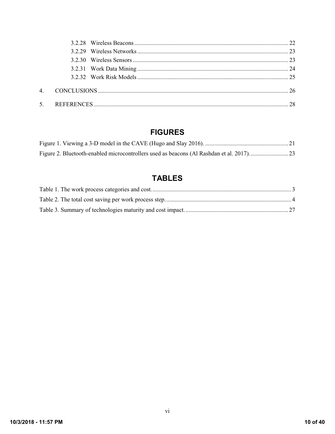# **FIGURES**

# **TABLES**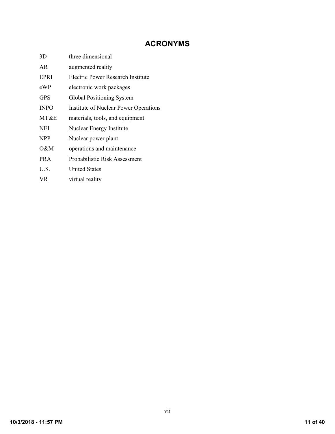# **ACRONYMS**

<span id="page-10-0"></span>

| 3D          | three dimensional                            |
|-------------|----------------------------------------------|
| AR.         | augmented reality                            |
| EPRI        | Electric Power Research Institute            |
| eWP         | electronic work packages                     |
| <b>GPS</b>  | Global Positioning System                    |
| <b>INPO</b> | <b>Institute of Nuclear Power Operations</b> |
| MT&E        | materials, tools, and equipment              |
| NEI         | Nuclear Energy Institute                     |
| NPP         | Nuclear power plant                          |
| O&M         | operations and maintenance                   |
| <b>PRA</b>  | Probabilistic Risk Assessment                |
| U.S.        | <b>United States</b>                         |
| VR.         | virtual reality                              |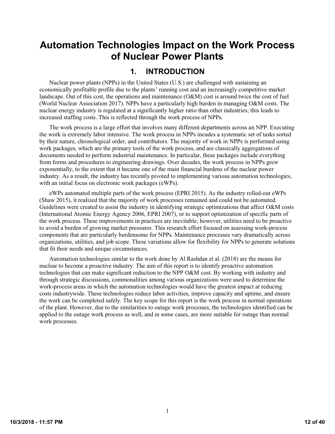# **Automation Technologies Impact on the Work Process of Nuclear Power Plants**

# **1. INTRODUCTION**

<span id="page-11-0"></span>Nuclear power plants (NPPs) in the United States (U.S.) are challenged with sustaining an economically profitable profile due to the plants' running cost and an increasingly competitive market landscape. Out of this cost, the operations and maintenance (O&M) cost is around twice the cost of fuel (World Nuclear Association 2017). NPPs have a particularly high burden in managing O&M costs. The nuclear energy industry is regulated at a significantly higher ratio than other industries; this leads to increased staffing costs. This is reflected through the work process of NPPs.

The work process is a large effort that involves many different departments across an NPP. Executing the work is extremely labor intensive. The work process in NPPs incudes a systematic set of tasks sorted by their nature, chronological order, and contributors. The majority of work in NPPs is performed using work packages, which are the primary tools of the work process, and are classically aggregations of documents needed to perform industrial maintenance. In particular, these packages include everything from forms and procedures to engineering drawings. Over decades, the work process in NPPs grew exponentially, to the extent that it became one of the main financial burdens of the nuclear power industry. As a result, the industry has recently pivoted to implementing various automation technologies, with an initial focus on electronic work packages (eWPs).

eWPs automated multiple parts of the work process (EPRI 2015). As the industry rolled-out eWPs (Shaw 2015), it realized that the majority of work processes remained and could not be automated. Guidelines were created to assist the industry in identifying strategic optimizations that affect O&M costs (International Atomic Energy Agency 2006, EPRI 2007), or to support optimization of specific parts of the work process. These improvements in practices are inevitable; however, utilities need to be proactive to avoid a burden of growing market pressures. This research effort focused on assessing work-process components that are particularly burdensome for NPPs. Maintenance processes vary dramatically across organizations, utilities, and job scope. These variations allow for flexibility for NPPs to generate solutions that fit their needs and unique circumstances.

Automation technologies similar to the work done by Al Rashdan et al. (2018) are the means for nuclear to become a proactive industry. The aim of this report is to identify proactive automation technologies that can make significant reduction to the NPP O&M cost. By working with industry and through strategic discussions, commonalities among various organizations were used to determine the work-process areas in which the automation technologies would have the greatest impact at reducing costs industrywide. These technologies reduce labor activities, improve capacity and uptime, and ensure the work can be completed safely. The key scope for this report is the work process in normal operations of the plant. However, due to the similarities to outage work processes, the technologies identified can be applied to the outage work process as well, and in some cases, are more suitable for outage than normal work processes.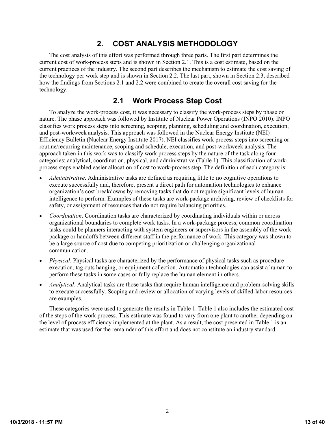# **2. COST ANALYSIS METHODOLOGY**

<span id="page-12-0"></span>The cost analysis of this effort was performed through three parts. The first part determines the current cost of work-process steps and is shown in Section [2.1.](#page-12-1) This is a cost estimate, based on the current practices of the industry. The second part describes the mechanism to estimate the cost saving of the technology per work step and is shown in Section [2.2.](#page-14-0) The last part, shown in Section [2.3,](#page-14-1) described how the findings from Sections [2.1](#page-12-1) and [2.2](#page-14-0) were combined to create the overall cost saving for the technology.

# **2.1 Work Process Step Cost**

<span id="page-12-1"></span>To analyze the work-process cost, it was necessary to classify the work-process steps by phase or nature. The phase approach was followed by Institute of Nuclear Power Operations (INPO 2010). INPO classifies work process steps into screening, scoping, planning, scheduling and coordination, execution, and post-workweek analysis. This approach was followed in the Nuclear Energy Institute (NEI) Efficiency Bulletin (Nuclear Energy Institute 2017). NEI classifies work process steps into screening or routine/recurring maintenance, scoping and schedule, execution, and post-workweek analysis. The approach taken in this work was to classify work process steps by the nature of the task along four categories: analytical, coordination, physical, and administrative [\(Table](#page-13-0) 1). This classification of workprocess steps enabled easier allocation of cost to work-process step. The definition of each category is:

- *Administrative*. Administrative tasks are defined as requiring little to no cognitive operations to execute successfully and, therefore, present a direct path for automation technologies to enhance organization's cost breakdowns by removing tasks that do not require significant levels of human intelligence to perform. Examples of these tasks are work-package archiving, review of checklists for safety, or assignment of resources that do not require balancing priorities.
- *Coordination*. Coordination tasks are characterized by coordinating individuals within or across organizational boundaries to complete work tasks. In a work-package process, common coordination tasks could be planners interacting with system engineers or supervisors in the assembly of the work package or handoffs between different staff in the performance of work. This category was shown to be a large source of cost due to competing prioritization or challenging organizational communication.
- *Physical*. Physical tasks are characterized by the performance of physical tasks such as procedure execution, tag outs hanging, or equipment collection. Automation technologies can assist a human to perform these tasks in some cases or fully replace the human element in others.
- *Analytical*. Analytical tasks are those tasks that require human intelligence and problem-solving skills to execute successfully. Scoping and review or allocation of varying levels of skilled-labor resources are examples.

These categories were used to generate the results in [Table](#page-13-0) 1. [Table](#page-13-0) 1 also includes the estimated cost of the steps of the work process. This estimate was found to vary from one plant to another depending on the level of process efficiency implemented at the plant. As a result, the cost presented i[n Table](#page-13-0) 1 is an estimate that was used for the remainder of this effort and does not constitute an industry standard.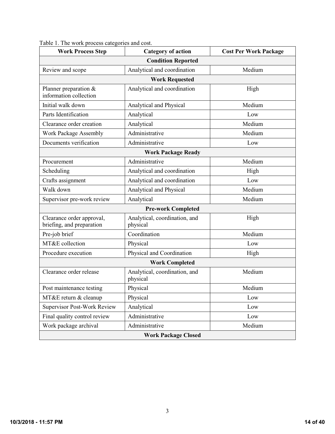| <b>Work Process Step</b>                               | <b>Category of action</b>                 | <b>Cost Per Work Package</b> |  |  |  |
|--------------------------------------------------------|-------------------------------------------|------------------------------|--|--|--|
| <b>Condition Reported</b>                              |                                           |                              |  |  |  |
| Review and scope                                       | Analytical and coordination               | Medium                       |  |  |  |
| <b>Work Requested</b>                                  |                                           |                              |  |  |  |
| Planner preparation $\&$<br>information collection     | Analytical and coordination               | High                         |  |  |  |
| Initial walk down                                      | Analytical and Physical                   | Medium                       |  |  |  |
| Parts Identification                                   | Analytical                                | Low                          |  |  |  |
| Clearance order creation                               | Analytical                                | Medium                       |  |  |  |
| Work Package Assembly                                  | Administrative                            | Medium                       |  |  |  |
| Documents verification                                 | Administrative                            | Low                          |  |  |  |
|                                                        | <b>Work Package Ready</b>                 |                              |  |  |  |
| Procurement                                            | Administrative                            | Medium                       |  |  |  |
| Scheduling                                             | Analytical and coordination               | High                         |  |  |  |
| Crafts assignment                                      | Analytical and coordination               | Low                          |  |  |  |
| Walk down                                              | Medium<br>Analytical and Physical         |                              |  |  |  |
| Supervisor pre-work review                             | Analytical                                | Medium                       |  |  |  |
|                                                        | <b>Pre-work Completed</b>                 |                              |  |  |  |
| Clearance order approval,<br>briefing, and preparation | Analytical, coordination, and<br>physical | High                         |  |  |  |
| Pre-job brief                                          | Coordination                              | Medium                       |  |  |  |
| MT&E collection                                        | Physical                                  | Low                          |  |  |  |
| Procedure execution                                    | Physical and Coordination                 | High                         |  |  |  |
|                                                        | <b>Work Completed</b>                     |                              |  |  |  |
| Clearance order release                                | Analytical, coordination, and<br>physical | Medium                       |  |  |  |
| Post maintenance testing                               | Physical<br>Medium                        |                              |  |  |  |
| MT&E return & cleanup                                  | Physical                                  | Low                          |  |  |  |
| <b>Supervisor Post-Work Review</b>                     | Analytical                                | Low                          |  |  |  |
| Final quality control review                           | Administrative                            | Low                          |  |  |  |
| Work package archival                                  | Administrative                            | Medium                       |  |  |  |
| <b>Work Package Closed</b>                             |                                           |                              |  |  |  |

<span id="page-13-0"></span>Table 1. The work process categories and cost.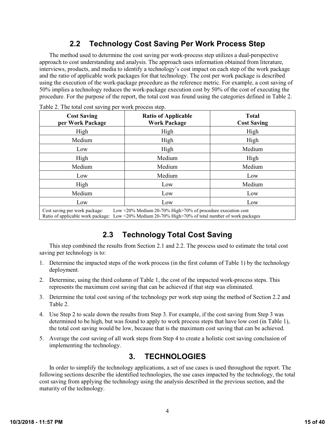# **2.2 Technology Cost Saving Per Work Process Step**

<span id="page-14-0"></span>The method used to determine the cost saving per work-process step utilizes a dual-perspective approach to cost understanding and analysis. The approach uses information obtained from literature, interviews, products, and media to identify a technology's cost impact on each step of the work package and the ratio of applicable work packages for that technology. The cost per work package is described using the execution of the work-package procedure as the reference metric. For example, a cost saving of 50% implies a technology reduces the work-package execution cost by 50% of the cost of executing the procedure. For the purpose of the report, the total cost was found using the categories defined in [Table](#page-14-3) 2.

| <b>Cost Saving</b><br>per Work Package | <b>Ratio of Applicable</b><br><b>Work Package</b> | <b>Total</b><br><b>Cost Saving</b> |
|----------------------------------------|---------------------------------------------------|------------------------------------|
| High                                   | High                                              | High                               |
| Medium                                 | High                                              | High                               |
| Low                                    | High                                              | Medium                             |
| High                                   | Medium                                            | High                               |
| Medium                                 | Medium                                            | Medium                             |
| Low                                    | Medium                                            | Low                                |
| High                                   | Low                                               | Medium                             |
| Medium                                 | Low                                               | Low                                |
| Low                                    | Low                                               | Low                                |

<span id="page-14-3"></span>Table 2. The total cost saving per work process step.

# **2.3 Technology Total Cost Saving**

<span id="page-14-1"></span>This step combined the results from Section [2.1](#page-12-1) an[d 2.2.](#page-14-0) The process used to estimate the total cost saving per technology is to:

- 1. Determine the impacted steps of the work process (in the first column of [Table](#page-13-0) 1) by the technology deployment.
- 2. Determine, using the third column of [Table](#page-13-0) 1, the cost of the impacted work-process steps. This represents the maximum cost saving that can be achieved if that step was eliminated.
- 3. Determine the total cost saving of the technology per work step using the method of Section [2.2](#page-14-0) and [Table](#page-14-3) 2.
- 4. Use Step 2 to scale down the results from Step 3. For example, if the cost saving from Step 3 was determined to be high, but was found to apply to work process steps that have low cost (in [Table](#page-13-0) 1), the total cost saving would be low, because that is the maximum cost saving that can be achieved.
- 5. Average the cost saving of all work steps from Step 4 to create a holistic cost saving conclusion of implementing the technology.

# **3. TECHNOLOGIES**

<span id="page-14-2"></span>In order to simplify the technology applications, a set of use cases is used throughout the report. The following sections describe the identified technologies, the use cases impacted by the technology, the total cost saving from applying the technology using the analysis described in the previous section, and the maturity of the technology.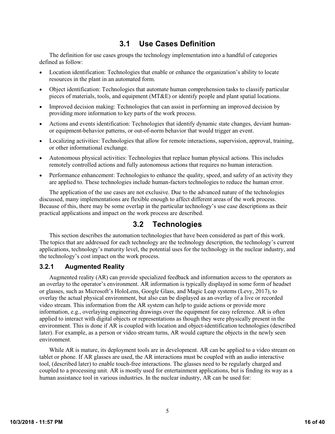# **3.1 Use Cases Definition**

<span id="page-15-0"></span>The definition for use cases groups the technology implementation into a handful of categories defined as follow:

- Location identification: Technologies that enable or enhance the organization's ability to locate resources in the plant in an automated form.
- Object identification: Technologies that automate human comprehension tasks to classify particular pieces of materials, tools, and equipment (MT&E) or identify people and plant spatial locations.
- Improved decision making: Technologies that can assist in performing an improved decision by providing more information to key parts of the work process.
- Actions and events identification: Technologies that identify dynamic state changes, deviant humanor equipment-behavior patterns, or out-of-norm behavior that would trigger an event.
- Localizing activities: Technologies that allow for remote interactions, supervision, approval, training, or other informational exchange.
- Autonomous physical activities: Technologies that replace human physical actions. This includes remotely controlled actions and fully autonomous actions that requires no human interaction.
- Performance enhancement: Technologies to enhance the quality, speed, and safety of an activity they are applied to. These technologies include human-factors technologies to reduce the human error.

The application of the use cases are not exclusive. Due to the advanced nature of the technologies discussed, many implementations are flexible enough to affect different areas of the work process. Because of this, there may be some overlap in the particular technology's use case descriptions as their practical applications and impact on the work process are described.

# **3.2 Technologies**

<span id="page-15-1"></span>This section describes the automation technologies that have been considered as part of this work. The topics that are addressed for each technology are the technology description, the technology's current applications, technology's maturity level, the potential uses for the technology in the nuclear industry, and the technology's cost impact on the work process.

#### <span id="page-15-2"></span>**3.2.1 Augmented Reality**

Augmented reality (AR) can provide specialized feedback and information access to the operators as an overlay to the operator's environment. AR information is typically displayed in some form of headset or glasses, such as Microsoft's HoloLens, Google Glass, and Magic Leap systems (Levy, 2017), to overlay the actual physical environment, but also can be displayed as an overlay of a live or recorded video stream. This information from the AR system can help to guide actions or provide more information, e.g., overlaying engineering drawings over the equipment for easy reference. AR is often applied to interact with digital objects or representations as though they were physically present in the environment. This is done if AR is coupled with location and object-identification technologies (described later). For example, as a person or video stream turns, AR would capture the objects in the newly seen environment.

While AR is mature, its deployment tools are in development. AR can be applied to a video stream on tablet or phone. If AR glasses are used, the AR interactions must be coupled with an audio interactive tool, (described later) to enable touch-free interactions. The glasses need to be regularly charged and coupled to a processing unit. AR is mostly used for entertainment applications, but is finding its way as a human assistance tool in various industries. In the nuclear industry, AR can be used for: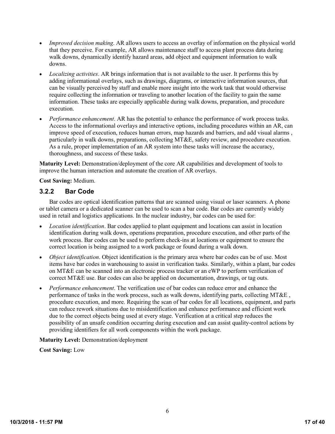- *Improved decision making*. AR allows users to access an overlay of information on the physical world that they perceive. For example, AR allows maintenance staff to access plant process data during walk downs, dynamically identify hazard areas, add object and equipment information to walk downs.
- *Localizing activities*. AR brings information that is not available to the user. It performs this by adding informational overlays, such as drawings, diagrams, or interactive information sources, that can be visually perceived by staff and enable more insight into the work task that would otherwise require collecting the information or traveling to another location of the facility to gain the same information. These tasks are especially applicable during walk downs, preparation, and procedure execution.
- *Performance enhancement*. AR has the potential to enhance the performance of work process tasks. Access to the informational overlays and interactive options, including procedures within an AR, can improve speed of execution, reduces human errors, map hazards and barriers, and add visual alarms , particularly in walk downs, preparations, collecting MT&E, safety review, and procedure execution. As a rule, proper implementation of an AR system into these tasks will increase the accuracy, thoroughness, and success of these tasks.

**Maturity Level:** Demonstration/deployment of the core AR capabilities and development of tools to improve the human interaction and automate the creation of AR overlays.

**Cost Saving:** Medium.

#### <span id="page-16-0"></span>**3.2.2 Bar Code**

Bar codes are optical identification patterns that are scanned using visual or laser scanners. A phone or tablet camera or a dedicated scanner can be used to scan a bar code. Bar codes are currently widely used in retail and logistics applications. In the nuclear industry, bar codes can be used for:

- *Location identification*. Bar codes applied to plant equipment and locations can assist in location identification during walk down, operations preparation, procedure execution, and other parts of the work process. Bar codes can be used to perform check-ins at locations or equipment to ensure the correct location is being assigned to a work package or found during a walk down.
- *Object identification*. Object identification is the primary area where bar codes can be of use. Most items have bar codes in warehousing to assist in verification tasks. Similarly, within a plant, bar codes on MT&E can be scanned into an electronic process tracker or an eWP to perform verification of correct MT&E use. Bar codes can also be applied on documentation, drawings, or tag outs.
- *Performance enhancement*. The verification use of bar codes can reduce error and enhance the performance of tasks in the work process, such as walk downs, identifying parts, collecting MT&E , procedure execution, and more. Requiring the scan of bar codes for all locations, equipment, and parts can reduce rework situations due to misidentification and enhance performance and efficient work due to the correct objects being used at every stage. Verification at a critical step reduces the possibility of an unsafe condition occurring during execution and can assist quality-control actions by providing identifiers for all work components within the work package.

#### **Maturity Level:** Demonstration/deployment

**Cost Saving:** Low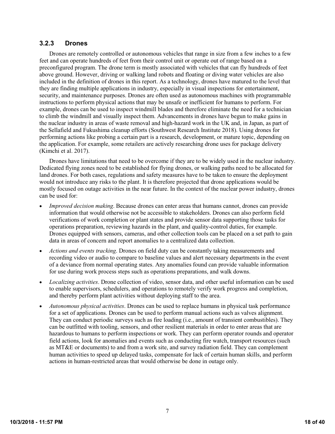#### <span id="page-17-0"></span>**3.2.3 Drones**

Drones are remotely controlled or autonomous vehicles that range in size from a few inches to a few feet and can operate hundreds of feet from their control unit or operate out of range based on a preconfigured program. The drone term is mostly associated with vehicles that can fly hundreds of feet above ground. However, driving or walking land robots and floating or diving water vehicles are also included in the definition of drones in this report. As a technology, drones have matured to the level that they are finding multiple applications in industry, especially in visual inspections for entertainment, security, and maintenance purposes. Drones are often used as autonomous machines with programmable instructions to perform physical actions that may be unsafe or inefficient for humans to perform. For example, drones can be used to inspect windmill blades and therefore eliminate the need for a technician to climb the windmill and visually inspect them. Advancements in drones have begun to make gains in the nuclear industry in areas of waste removal and high-hazard work in the UK and, in Japan, as part of the Sellafield and Fukushima cleanup efforts (Southwest Research Institute 2018). Using drones for performing actions like probing a certain part is a research, development, or mature topic, depending on the application. For example, some retailers are actively researching drone uses for package delivery (Kimchi et al. 2017).

Drones have limitations that need to be overcome if they are to be widely used in the nuclear industry. Dedicated flying zones need to be established for flying drones, or walking paths need to be allocated for land drones. For both cases, regulations and safety measures have to be taken to ensure the deployment would not introduce any risks to the plant. It is therefore projected that drone applications would be mostly focused on outage activities in the near future. In the context of the nuclear power industry, drones can be used for:

- *Improved decision making*. Because drones can enter areas that humans cannot, drones can provide information that would otherwise not be accessible to stakeholders. Drones can also perform field verifications of work completion or plant states and provide sensor data supporting those tasks for operations preparation, reviewing hazards in the plant, and quality-control duties, for example. Drones equipped with sensors, cameras, and other collection tools can be placed on a set path to gain data in areas of concern and report anomalies to a centralized data collection.
- *Actions and events tracking*. Drones on field duty can be constantly taking measurements and recording video or audio to compare to baseline values and alert necessary departments in the event of a deviance from normal operating states. Any anomalies found can provide valuable information for use during work process steps such as operations preparations, and walk downs.
- *Localizing activities*. Drone collection of video, sensor data, and other useful information can be used to enable supervisors, schedulers, and operations to remotely verify work progress and completion, and thereby perform plant activities without deploying staff to the area.
- *Autonomous physical activities*. Drones can be used to replace humans in physical task performance for a set of applications. Drones can be used to perform manual actions such as valves alignment. They can conduct periodic surveys such as fire loading (i.e., amount of transient combustibles). They can be outfitted with tooling, sensors, and other resilient materials in order to enter areas that are hazardous to humans to perform inspections or work. They can perform operator rounds and operator field actions, look for anomalies and events such as conducting fire watch, transport resources (such as MT&E or documents) to and from a work site, and survey radiation field. They can complement human activities to speed up delayed tasks, compensate for lack of certain human skills, and perform actions in human-restricted areas that would otherwise be done in outage only.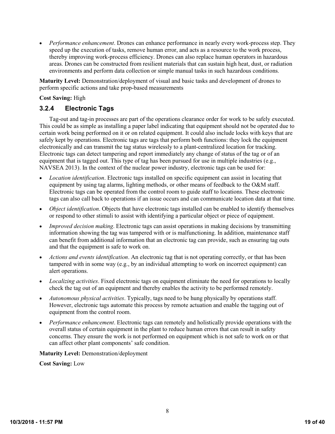*Performance enhancement*. Drones can enhance performance in nearly every work-process step. They speed up the execution of tasks, remove human error, and acts as a resource to the work process, thereby improving work-process efficiency. Drones can also replace human operators in hazardous areas. Drones can be constructed from resilient materials that can sustain high heat, dust, or radiation environments and perform data collection or simple manual tasks in such hazardous conditions.

**Maturity Level:** Demonstration/deployment of visual and basic tasks and development of drones to perform specific actions and take prop-based measurements

#### **Cost Saving:** High

#### <span id="page-18-0"></span>**3.2.4 Electronic Tags**

Tag-out and tag-in processes are part of the operations clearance order for work to be safely executed. This could be as simple as installing a paper label indicating that equipment should not be operated due to certain work being performed on it or on related equipment. It could also include locks with keys that are safely kept by operations. Electronic tags are tags that perform both functions: they lock the equipment electronically and can transmit the tag status wirelessly to a plant-centralized location for tracking. Electronic tags can detect tampering and report immediately any change of status of the tag or of an equipment that is tagged out. This type of tag has been pursued for use in multiple industries (e.g., NAVSEA 2013). In the context of the nuclear power industry, electronic tags can be used for:

- *Location identification*. Electronic tags installed on specific equipment can assist in locating that equipment by using tag alarms, lighting methods, or other means of feedback to the O&M staff. Electronic tags can be operated from the control room to guide staff to locations. These electronic tags can also call back to operations if an issue occurs and can communicate location data at that time.
- *Object identification*. Objects that have electronic tags installed can be enabled to identify themselves or respond to other stimuli to assist with identifying a particular object or piece of equipment.
- *Improved decision making*. Electronic tags can assist operations in making decisions by transmitting information showing the tag was tampered with or is malfunctioning. In addition, maintenance staff can benefit from additional information that an electronic tag can provide, such as ensuring tag outs and that the equipment is safe to work on.
- *Actions and events identification*. An electronic tag that is not operating correctly, or that has been tampered with in some way (e.g., by an individual attempting to work on incorrect equipment) can alert operations.
- *Localizing activities*. Fixed electronic tags on equipment eliminate the need for operations to locally check the tag out of an equipment and thereby enables the activity to be performed remotely.
- *Autonomous physical activities*. Typically, tags need to be hung physically by operations staff. However, electronic tags automate this process by remote actuation and enable the tagging out of equipment from the control room.
- *Performance enhancement*. Electronic tags can remotely and holistically provide operations with the overall status of certain equipment in the plant to reduce human errors that can result in safety concerns. They ensure the work is not performed on equipment which is not safe to work on or that can affect other plant components' safe condition.

**Maturity Level:** Demonstration/deployment

**Cost Saving:** Low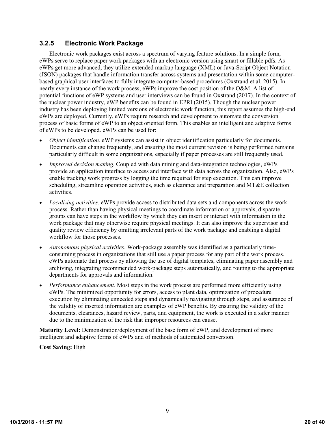#### <span id="page-19-0"></span>**3.2.5 Electronic Work Package**

Electronic work packages exist across a spectrum of varying feature solutions. In a simple form, eWPs serve to replace paper work packages with an electronic version using smart or fillable pdfs. As eWPs get more advanced, they utilize extended markup language (XML) or Java-Script Object Notation (JSON) packages that handle information transfer across systems and presentation within some computerbased graphical user interfaces to fully integrate computer-based procedures (Oxstrand et al. 2015). In nearly every instance of the work process, eWPs improve the cost position of the O&M. A list of potential functions of eWP systems and user interviews can be found in Oxstrand (2017). In the context of the nuclear power industry, eWP benefits can be found in EPRI (2015). Though the nuclear power industry has been deploying limited versions of electronic work function, this report assumes the high-end eWPs are deployed. Currently, eWPs require research and development to automate the conversion process of basic forms of eWP to an object oriented form. This enables an intelligent and adaptive forms of eWPs to be developed. eWPs can be used for:

- *Object identification*. eWP systems can assist in object identification particularly for documents. Documents can change frequently, and ensuring the most current revision is being performed remains particularly difficult in some organizations, especially if paper processes are still frequently used.
- *Improved decision making*. Coupled with data mining and data-integration technologies, eWPs provide an application interface to access and interface with data across the organization. Also, eWPs enable tracking work progress by logging the time required for step execution. This can improve scheduling, streamline operation activities, such as clearance and preparation and MT&E collection activities.
- *Localizing activities*. eWPs provide access to distributed data sets and components across the work process. Rather than having physical meetings to coordinate information or approvals, disparate groups can have steps in the workflow by which they can insert or interact with information in the work package that may otherwise require physical meetings. It can also improve the supervisor and quality review efficiency by omitting irrelevant parts of the work package and enabling a digital workflow for those processes.
- *Autonomous physical activities*. Work-package assembly was identified as a particularly timeconsuming process in organizations that still use a paper process for any part of the work process. eWPs automate that process by allowing the use of digital templates, eliminating paper assembly and archiving, integrating recommended work-package steps automatically, and routing to the appropriate departments for approvals and information.
- *Performance enhancement*. Most steps in the work process are performed more efficiently using eWPs. The minimized opportunity for errors, access to plant data, optimization of procedure execution by eliminating unneeded steps and dynamically navigating through steps, and assurance of the validity of inserted information are examples of eWP benefits. By ensuring the validity of the documents, clearances, hazard review, parts, and equipment, the work is executed in a safer manner due to the minimization of the risk that improper resources can cause.

**Maturity Level:** Demonstration/deployment of the base form of eWP, and development of more intelligent and adaptive forms of eWPs and of methods of automated conversion.

**Cost Saving:** High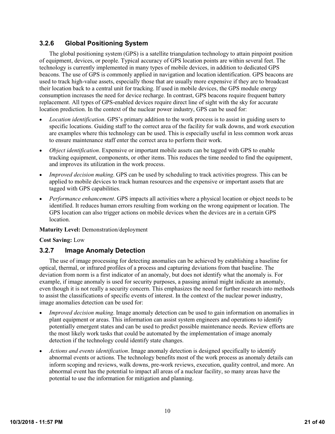## <span id="page-20-0"></span>**3.2.6 Global Positioning System**

The global positioning system (GPS) is a satellite triangulation technology to attain pinpoint position of equipment, devices, or people. Typical accuracy of GPS location points are within several feet. The technology is currently implemented in many types of mobile devices, in addition to dedicated GPS beacons. The use of GPS is commonly applied in navigation and location identification. GPS beacons are used to track high-value assets, especially those that are usually more expensive if they are to broadcast their location back to a central unit for tracking. If used in mobile devices, the GPS module energy consumption increases the need for device recharge. In contrast, GPS beacons require frequent battery replacement. All types of GPS-enabled devices require direct line of sight with the sky for accurate location prediction. In the context of the nuclear power industry, GPS can be used for:

- *Location identification*. GPS's primary addition to the work process is to assist in guiding users to specific locations. Guiding staff to the correct area of the facility for walk downs, and work execution are examples where this technology can be used. This is especially useful in less common work areas to ensure maintenance staff enter the correct area to perform their work.
- *Object identification*. Expensive or important mobile assets can be tagged with GPS to enable tracking equipment, components, or other items. This reduces the time needed to find the equipment, and improves its utilization in the work process.
- *Improved decision making*. GPS can be used by scheduling to track activities progress. This can be applied to mobile devices to track human resources and the expensive or important assets that are tagged with GPS capabilities.
- *Performance enhancement*. GPS impacts all activities where a physical location or object needs to be identified. It reduces human errors resulting from working on the wrong equipment or location. The GPS location can also trigger actions on mobile devices when the devices are in a certain GPS location.

#### **Maturity Level:** Demonstration/deployment

#### **Cost Saving:** Low

## <span id="page-20-1"></span>**3.2.7 Image Anomaly Detection**

The use of image processing for detecting anomalies can be achieved by establishing a baseline for optical, thermal, or infrared profiles of a process and capturing deviations from that baseline. The deviation from norm is a first indicator of an anomaly, but does not identify what the anomaly is. For example, if image anomaly is used for security purposes, a passing animal might indicate an anomaly, even though it is not really a security concern. This emphasizes the need for further research into methods to assist the classifications of specific events of interest. In the context of the nuclear power industry, image anomalies detection can be used for:

- *Improved decision making*. Image anomaly detection can be used to gain information on anomalies in plant equipment or areas. This information can assist system engineers and operations to identify potentially emergent states and can be used to predict possible maintenance needs. Review efforts are the most likely work tasks that could be automated by the implementation of image anomaly detection if the technology could identify state changes.
- *Actions and events identification*. Image anomaly detection is designed specifically to identify abnormal events or actions. The technology benefits most of the work process as anomaly details can inform scoping and reviews, walk downs, pre-work reviews, execution, quality control, and more. An abnormal event has the potential to impact all areas of a nuclear facility, so many areas have the potential to use the information for mitigation and planning.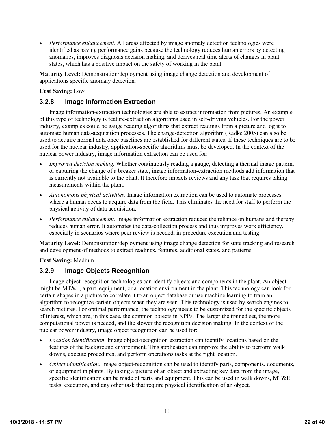*Performance enhancement*. All areas affected by image anomaly detection technologies were identified as having performance gains because the technology reduces human errors by detecting anomalies, improves diagnosis decision making, and derives real time alerts of changes in plant states, which has a positive impact on the safety of working in the plant.

**Maturity Level:** Demonstration/deployment using image change detection and development of applications specific anomaly detection.

#### **Cost Saving:** Low

## <span id="page-21-0"></span>**3.2.8 Image Information Extraction**

Image information-extraction technologies are able to extract information from pictures. An example of this type of technology is feature-extraction algorithms used in self-driving vehicles. For the power industry, examples could be gauge reading algorithms that extract readings from a picture and log it to automate human data-acquisition processes. The change-detection algorithm (Radke 2005) can also be used to acquire normal data once baselines are established for different states. If these techniques are to be used for the nuclear industry, application-specific algorithms must be developed. In the context of the nuclear power industry, image information extraction can be used for:

- *Improved decision making*. Whether continuously reading a gauge, detecting a thermal image pattern, or capturing the change of a breaker state, image information-extraction methods add information that is currently not available to the plant. It therefore impacts reviews and any task that requires taking measurements within the plant.
- *Autonomous physical activities*. Image information extraction can be used to automate processes where a human needs to acquire data from the field. This eliminates the need for staff to perform the physical activity of data acquisition.
- *Performance enhancement*. Image information extraction reduces the reliance on humans and thereby reduces human error. It automates the data-collection process and thus improves work efficiency, especially in scenarios where peer review is needed, in procedure execution and testing.

**Maturity Level:** Demonstration/deployment using image change detection for state tracking and research and development of methods to extract readings, features, additional states, and patterns.

**Cost Saving:** Medium

## <span id="page-21-1"></span>**3.2.9 Image Objects Recognition**

Image object-recognition technologies can identify objects and components in the plant. An object might be MT&E, a part, equipment, or a location environment in the plant. This technology can look for certain shapes in a picture to correlate it to an object database or use machine learning to train an algorithm to recognize certain objects when they are seen. This technology is used by search engines to search pictures. For optimal performance, the technology needs to be customized for the specific objects of interest, which are, in this case, the common objects in NPPs. The larger the trained set, the more computational power is needed, and the slower the recognition decision making. In the context of the nuclear power industry, image object recognition can be used for:

- *Location identification*. Image object-recognition extraction can identify locations based on the features of the background environment. This application can improve the ability to perform walk downs, execute procedures, and perform operations tasks at the right location.
- *Object identification*. Image object-recognition can be used to identify parts, components, documents, or equipment in plants. By taking a picture of an object and extracting key data from the image, specific identification can be made of parts and equipment. This can be used in walk downs, MT&E tasks, execution, and any other task that require physical identification of an object.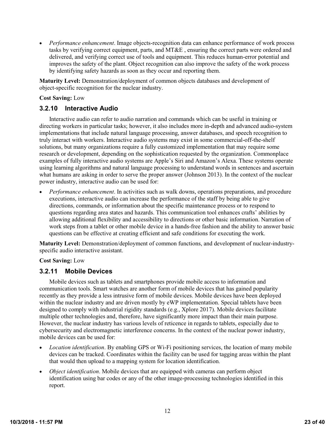*Performance enhancement*. Image objects-recognition data can enhance performance of work process tasks by verifying correct equipment, parts, and MT&E , ensuring the correct parts were ordered and delivered, and verifying correct use of tools and equipment. This reduces human-error potential and improves the safety of the plant. Object recognition can also improve the safety of the work process by identifying safety hazards as soon as they occur and reporting them.

**Maturity Level:** Demonstration/deployment of common objects databases and development of object-specific recognition for the nuclear industry.

#### **Cost Saving:** Low

#### <span id="page-22-0"></span>**3.2.10 Interactive Audio**

Interactive audio can refer to audio narration and commands which can be useful in training or directing workers in particular tasks; however, it also includes more in-depth and advanced audio-system implementations that include natural language processing, answer databases, and speech recognition to truly interact with workers. Interactive audio systems may exist in some commercial-off-the-shelf solutions, but many organizations require a fully customized implementation that may require some research or development, depending on the sophistication requested by the organization. Commonplace examples of fully interactive audio systems are Apple's Siri and Amazon's Alexa. These systems operate using learning algorithms and natural language processing to understand words in sentences and ascertain what humans are asking in order to serve the proper answer (Johnson 2013). In the context of the nuclear power industry, interactive audio can be used for:

 *Performance enhancement*. In activities such as walk downs, operations preparations, and procedure executions, interactive audio can increase the performance of the staff by being able to give directions, commands, or information about the specific maintenance process or to respond to questions regarding area states and hazards. This communication tool enhances crafts' abilities by allowing additional flexibility and accessibility to directions or other basic information. Narration of work steps from a tablet or other mobile device in a hands-free fashion and the ability to answer basic questions can be effective at creating efficient and safe conditions for executing the work.

**Maturity Level:** Demonstration/deployment of common functions, and development of nuclear-industryspecific audio interactive assistant.

**Cost Saving:** Low

## <span id="page-22-1"></span>**3.2.11 Mobile Devices**

Mobile devices such as tablets and smartphones provide mobile access to information and communication tools. Smart watches are another form of mobile devices that has gained popularity recently as they provide a less intrusive form of mobile devices. Mobile devices have been deployed within the nuclear industry and are driven mostly by eWP implementation. Special tablets have been designed to comply with industrial rigidity standards (e.g., Xplore 2017). Mobile devices facilitate multiple other technologies and, therefore, have significantly more impact than their main purpose. However, the nuclear industry has various levels of reticence in regards to tablets, especially due to cybersecurity and electromagnetic interference concerns. In the context of the nuclear power industry, mobile devices can be used for:

- *Location identification*. By enabling GPS or Wi-Fi positioning services, the location of many mobile devices can be tracked. Coordinates within the facility can be used for tagging areas within the plant that would then upload to a mapping system for location identification.
- *Object identification*. Mobile devices that are equipped with cameras can perform object identification using bar codes or any of the other image-processing technologies identified in this report.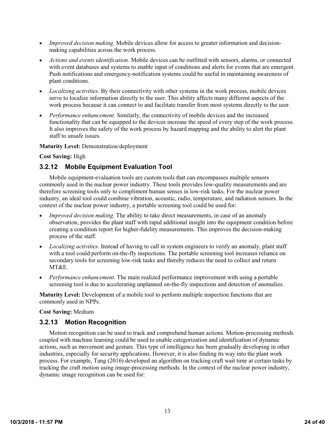- *Improved decision making*. Mobile devices allow for access to greater information and decisionmaking capabilities across the work process.
- *Actions and events identification*. Mobile devices can be outfitted with sensors, alarms, or connected with event databases and systems to enable input of conditions and alerts for events that are emergent. Push notifications and emergency-notification systems could be useful in maintaining awareness of plant conditions.
- *Localizing activities*. By their connectivity with other systems in the work process, mobile devices serve to localize information directly to the user. This ability affects many different aspects of the work process because it can connect to and facilitate transfer from most systems directly to the user.
- *Performance enhancement*. Similarly, the connectivity of mobile devices and the increased functionality that can be equipped to the devices increase the speed of every step of the work process. It also improves the safety of the work process by hazard mapping and the ability to alert the plant staff to unsafe issues.

#### **Maturity Level:** Demonstration/deployment

#### **Cost Saving:** High

## <span id="page-23-0"></span>**3.2.12 Mobile Equipment Evaluation Tool**

Mobile equipment-evaluation tools are custom tools that can encompasses multiple sensors commonly used in the nuclear power industry. These tools provides low-quality measurements and are therefore screening tools only to compliment human senses in low-risk tasks. For the nuclear power industry, an ideal tool could combine vibration, acoustic, radio, temperature, and radiation sensors. In the context of the nuclear power industry, a portable screening tool could be used for:

- *Improved decision making*. The ability to take direct measurements, in case of an anomaly observation, provides the plant staff with rapid additional insight into the equipment condition before creating a condition report for higher-fidelity measurements. This improves the decision-making process of the staff.
- *Localizing activities*. Instead of having to call in system engineers to verify an anomaly, plant staff with a tool could perform on-the-fly inspections. The portable screening tool increases reliance on secondary tools for screening low-risk tasks and thereby reduces the need to collect and return MT&E.
- *Performance enhancement*. The main realized performance improvement with using a portable screening tool is due to accelerating unplanned on-the-fly inspections and detection of anomalies.

**Maturity Level:** Development of a mobile tool to perform multiple inspection functions that are commonly used in NPPs.

#### **Cost Saving:** Medium

## <span id="page-23-1"></span>**3.2.13 Motion Recognition**

Motion recognition can be used to track and comprehend human actions. Motion-processing methods coupled with machine learning could be used to enable categorization and identification of dynamic actions, such as movement and gesture. This type of intelligence has been gradually developing in other industries, especially for security applications. However, it is also finding its way into the plant work process. For example, Tang (2016) developed an algorithm on tracking craft wait time at certain tasks by tracking the craft motion using image-processing methods. In the context of the nuclear power industry, dynamic image recognition can be used for: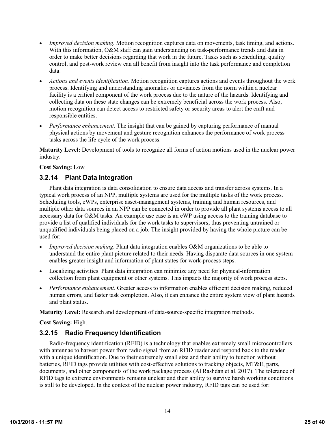- *Improved decision making*. Motion recognition captures data on movements, task timing, and actions. With this information, O&M staff can gain understanding on task-performance trends and data in order to make better decisions regarding that work in the future. Tasks such as scheduling, quality control, and post-work review can all benefit from insight into the task performance and completion data.
- *Actions and events identification*. Motion recognition captures actions and events throughout the work process. Identifying and understanding anomalies or deviances from the norm within a nuclear facility is a critical component of the work process due to the nature of the hazards. Identifying and collecting data on these state changes can be extremely beneficial across the work process. Also, motion recognition can detect access to restricted safety or security areas to alert the craft and responsible entities.
- *Performance enhancement*. The insight that can be gained by capturing performance of manual physical actions by movement and gesture recognition enhances the performance of work process tasks across the life cycle of the work process.

**Maturity Level:** Development of tools to recognize all forms of action motions used in the nuclear power industry.

#### **Cost Saving:** Low

## <span id="page-24-0"></span>**3.2.14 Plant Data Integration**

Plant data integration is data consolidation to ensure data access and transfer across systems. In a typical work process of an NPP, multiple systems are used for the multiple tasks of the work process. Scheduling tools, eWPs, enterprise asset-management systems, training and human resources, and multiple other data sources in an NPP can be connected in order to provide all plant systems access to all necessary data for O&M tasks. An example use case is an eWP using access to the training database to provide a list of qualified individuals for the work tasks to supervisors, thus preventing untrained or unqualified individuals being placed on a job. The insight provided by having the whole picture can be used for:

- *Improved decision making*. Plant data integration enables O&M organizations to be able to understand the entire plant picture related to their needs. Having disparate data sources in one system enables greater insight and information of plant states for work-process steps.
- Localizing activities. Plant data integration can minimize any need for physical-information collection from plant equipment or other systems. This impacts the majority of work process steps.
- *Performance enhancement*. Greater access to information enables efficient decision making, reduced human errors, and faster task completion. Also, it can enhance the entire system view of plant hazards and plant status.

**Maturity Level:** Research and development of data-source-specific integration methods.

#### **Cost Saving:** High.

## <span id="page-24-1"></span>**3.2.15 Radio Frequency Identification**

Radio-frequency identification (RFID) is a technology that enables extremely small microcontrollers with antennae to harvest power from radio signal from an RFID reader and respond back to the reader with a unique identification. Due to their extremely small size and their ability to function without batteries, RFID tags provide utilities with cost-effective solutions to tracking objects, MT&E, parts, documents, and other components of the work package process (Al Rashdan et al. 2017). The tolerance of RFID tags to extreme environments remains unclear and their ability to survive harsh working conditions is still to be developed. In the context of the nuclear power industry, RFID tags can be used for: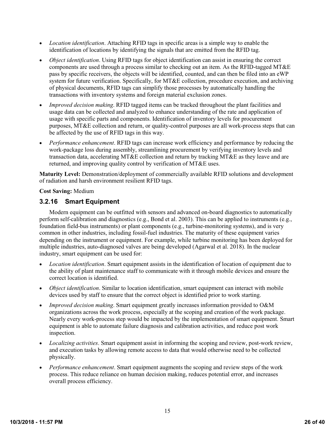- *Location identification*. Attaching RFID tags in specific areas is a simple way to enable the identification of locations by identifying the signals that are emitted from the RFID tag.
- *Object identification*. Using RFID tags for object identification can assist in ensuring the correct components are used through a process similar to checking out an item. As the RFID-tagged MT&E pass by specific receivers, the objects will be identified, counted, and can then be filed into an eWP system for future verification. Specifically, for MT&E collection, procedure execution, and archiving of physical documents, RFID tags can simplify those processes by automatically handling the transactions with inventory systems and foreign material exclusion zones.
- *Improved decision making*. RFID tagged items can be tracked throughout the plant facilities and usage data can be collected and analyzed to enhance understanding of the rate and application of usage with specific parts and components. Identification of inventory levels for procurement purposes, MT&E collection and return, or quality-control purposes are all work-process steps that can be affected by the use of RFID tags in this way.
- *Performance enhancement*. RFID tags can increase work efficiency and performance by reducing the work-package loss during assembly, streamlining procurement by verifying inventory levels and transaction data, accelerating MT&E collection and return by tracking MT&E as they leave and are returned, and improving quality control by verification of MT&E uses.

**Maturity Level:** Demonstration/deployment of commercially available RFID solutions and development of radiation and harsh environment resilient RFID tags.

**Cost Saving:** Medium

# <span id="page-25-0"></span>**3.2.16 Smart Equipment**

Modern equipment can be outfitted with sensors and advanced on-board diagnostics to automatically perform self-calibration and diagnostics (e.g., Bond et al. 2003). This can be applied to instruments (e.g., foundation field-bus instruments) or plant components (e.g., turbine-monitoring systems), and is very common in other industries, including fossil-fuel industries. The maturity of these equipment varies depending on the instrument or equipment. For example, while turbine monitoring has been deployed for multiple industries, auto-diagnosed valves are being developed (Agarwal et al. 2018). In the nuclear industry, smart equipment can be used for:

- *Location identification*. Smart equipment assists in the identification of location of equipment due to the ability of plant maintenance staff to communicate with it through mobile devices and ensure the correct location is identified.
- *Object identification*. Similar to location identification, smart equipment can interact with mobile devices used by staff to ensure that the correct object is identified prior to work starting.
- *Improved decision making*. Smart equipment greatly increases information provided to O&M organizations across the work process, especially at the scoping and creation of the work package. Nearly every work-process step would be impacted by the implementation of smart equipment. Smart equipment is able to automate failure diagnosis and calibration activities, and reduce post work inspection.
- *Localizing activities*. Smart equipment assist in informing the scoping and review, post-work review, and execution tasks by allowing remote access to data that would otherwise need to be collected physically.
- *Performance enhancement*. Smart equipment augments the scoping and review steps of the work process. This reduce reliance on human decision making, reduces potential error, and increases overall process efficiency.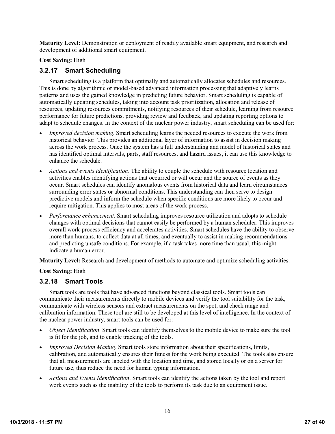**Maturity Level:** Demonstration or deployment of readily available smart equipment, and research and development of additional smart equipment.

#### **Cost Saving:** High

## <span id="page-26-0"></span>**3.2.17 Smart Scheduling**

Smart scheduling is a platform that optimally and automatically allocates schedules and resources. This is done by algorithmic or model-based advanced information processing that adaptively learns patterns and uses the gained knowledge in predicting future behavior. Smart scheduling is capable of automatically updating schedules, taking into account task prioritization, allocation and release of resources, updating resources commitments, notifying resources of their schedule, learning from resource performance for future predictions, providing review and feedback, and updating reporting options to adapt to schedule changes. In the context of the nuclear power industry, smart scheduling can be used for:

- *Improved decision making*. Smart scheduling learns the needed resources to execute the work from historical behavior. This provides an additional layer of information to assist in decision making across the work process. Once the system has a full understanding and model of historical states and has identified optimal intervals, parts, staff resources, and hazard issues, it can use this knowledge to enhance the schedule.
- *Actions and events identification*. The ability to couple the schedule with resource location and activities enables identifying actions that occurred or will occur and the source of events as they occur. Smart schedules can identify anomalous events from historical data and learn circumstances surrounding error states or abnormal conditions. This understanding can then serve to design predictive models and inform the schedule when specific conditions are more likely to occur and require mitigation. This applies to most areas of the work process.
- *Performance enhancement*. Smart scheduling improves resource utilization and adopts to schedule changes with optimal decisions that cannot easily be performed by a human scheduler. This improves overall work-process efficiency and accelerates activities. Smart schedules have the ability to observe more than humans, to collect data at all times, and eventually to assist in making recommendations and predicting unsafe conditions. For example, if a task takes more time than usual, this might indicate a human error.

**Maturity Level:** Research and development of methods to automate and optimize scheduling activities.

**Cost Saving:** High

## <span id="page-26-1"></span>**3.2.18 Smart Tools**

Smart tools are tools that have advanced functions beyond classical tools. Smart tools can communicate their measurements directly to mobile devices and verify the tool suitability for the task, communicate with wireless sensors and extract measurements on the spot, and check range and calibration information. These tool are still to be developed at this level of intelligence. In the context of the nuclear power industry, smart tools can be used for:

- *Object Identification*. Smart tools can identify themselves to the mobile device to make sure the tool is fit for the job, and to enable tracking of the tools.
- *Improved Decision Making*. Smart tools store information about their specifications, limits, calibration, and automatically ensures their fitness for the work being executed. The tools also ensure that all measurements are labeled with the location and time, and stored locally or on a server for future use, thus reduce the need for human typing information.
- *Actions and Events Identification*. Smart tools can identify the actions taken by the tool and report work events such as the inability of the tools to perform its task due to an equipment issue.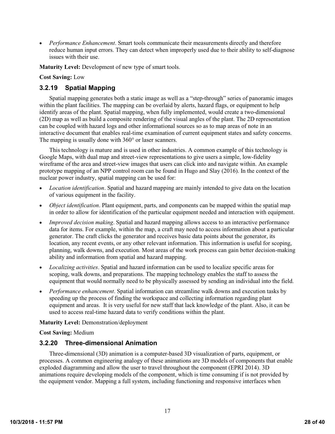*Performance Enhancement*. Smart tools communicate their measurements directly and therefore reduce human input errors. They can detect when improperly used due to their ability to self-diagnose issues with their use.

**Maturity Level:** Development of new type of smart tools.

#### **Cost Saving:** Low

## <span id="page-27-0"></span>**3.2.19 Spatial Mapping**

Spatial mapping generates both a static image as well as a "step-through" series of panoramic images within the plant facilities. The mapping can be overlaid by alerts, hazard flags, or equipment to help identify areas of the plant. Spatial mapping, when fully implemented, would create a two-dimensional (2D) map as well as build a composite rendering of the visual angles of the plant. The 2D representation can be coupled with hazard logs and other informational sources so as to map areas of note in an interactive document that enables real-time examination of current equipment states and safety concerns. The mapping is usually done with 360° or laser scanners.

This technology is mature and is used in other industries. A common example of this technology is Google Maps, with dual map and street-view representations to give users a simple, low-fidelity wireframe of the area and street-view images that users can click into and navigate within. An example prototype mapping of an NPP control room can be found in Hugo and Slay (2016). In the context of the nuclear power industry, spatial mapping can be used for:

- *Location identification*. Spatial and hazard mapping are mainly intended to give data on the location of various equipment in the facility.
- *Object identification*. Plant equipment, parts, and components can be mapped within the spatial map in order to allow for identification of the particular equipment needed and interaction with equipment.
- *Improved decision making*. Spatial and hazard mapping allows access to an interactive performance data for items. For example, within the map, a craft may need to access information about a particular generator. The craft clicks the generator and receives basic data points about the generator, its location, any recent events, or any other relevant information. This information is useful for scoping, planning, walk downs, and execution. Most areas of the work process can gain better decision-making ability and information from spatial and hazard mapping.
- *Localizing activities*. Spatial and hazard information can be used to localize specific areas for scoping, walk downs, and preparations. The mapping technology enables the staff to assess the equipment that would normally need to be physically assessed by sending an individual into the field.
- *Performance enhancement*. Spatial information can streamline walk downs and execution tasks by speeding up the process of finding the workspace and collecting information regarding plant equipment and areas. It is very useful for new staff that lack knowledge of the plant. Also, it can be used to access real-time hazard data to verify conditions within the plant.

#### **Maturity Level:** Demonstration/deployment

**Cost Saving:** Medium

## <span id="page-27-1"></span>**3.2.20 Three-dimensional Animation**

Three-dimensional (3D) animation is a computer-based 3D visualization of parts, equipment, or processes. A common engineering analogy of these animations are 3D models of components that enable exploded diagramming and allow the user to travel throughout the component [\(EPRI](https://www.epri.com/#/pages/product/3002000163/?lang=en) 2014). 3D animations require developing models of the component, which is time consuming if is not provided by the equipment vendor. Mapping a full system, including functioning and responsive interfaces when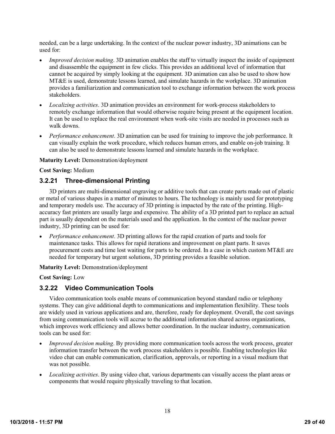needed, can be a large undertaking. In the context of the nuclear power industry, 3D animations can be used for:

- *Improved decision making*. 3D animation enables the staff to virtually inspect the inside of equipment and disassemble the equipment in few clicks. This provides an additional level of information that cannot be acquired by simply looking at the equipment. 3D animation can also be used to show how MT&E is used, demonstrate lessons learned, and simulate hazards in the workplace. 3D animation provides a familiarization and communication tool to exchange information between the work process stakeholders.
- *Localizing activities*. 3D animation provides an environment for work-process stakeholders to remotely exchange information that would otherwise require being present at the equipment location. It can be used to replace the real environment when work-site visits are needed in processes such as walk downs.
- *Performance enhancement*. 3D animation can be used for training to improve the job performance. It can visually explain the work procedure, which reduces human errors, and enable on-job training. It can also be used to demonstrate lessons learned and simulate hazards in the workplace.

#### **Maturity Level:** Demonstration/deployment

**Cost Saving:** Medium

#### <span id="page-28-0"></span>**3.2.21 Three-dimensional Printing**

3D printers are multi-dimensional engraving or additive tools that can create parts made out of plastic or metal of various shapes in a matter of minutes to hours. The technology is mainly used for prototyping and temporary models use. The accuracy of 3D printing is impacted by the rate of the printing. Highaccuracy fast printers are usually large and expensive. The ability of a 3D printed part to replace an actual part is usually dependent on the materials used and the application. In the context of the nuclear power industry, 3D printing can be used for:

 *Performance enhancement*. 3D printing allows for the rapid creation of parts and tools for maintenance tasks. This allows for rapid iterations and improvement on plant parts. It saves procurement costs and time lost waiting for parts to be ordered. In a case in which custom MT&E are needed for temporary but urgent solutions, 3D printing provides a feasible solution.

**Maturity Level:** Demonstration/deployment

**Cost Saving:** Low

## <span id="page-28-1"></span>**3.2.22 Video Communication Tools**

Video communication tools enable means of communication beyond standard radio or telephony systems. They can give additional depth to communications and implementation flexibility. These tools are widely used in various applications and are, therefore, ready for deployment. Overall, the cost savings from using communication tools will accrue to the additional information shared across organizations, which improves work efficiency and allows better coordination. In the nuclear industry, communication tools can be used for:

- *Improved decision making*. By providing more communication tools across the work process, greater information transfer between the work process stakeholders is possible. Enabling technologies like video chat can enable communication, clarification, approvals, or reporting in a visual medium that was not possible.
- *Localizing activities*. By using video chat, various departments can visually access the plant areas or components that would require physically traveling to that location.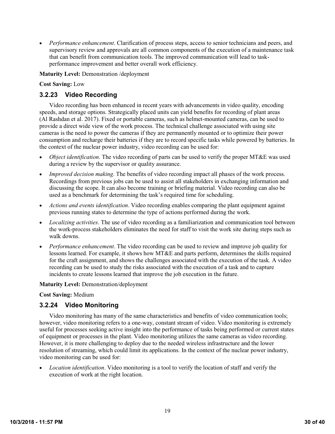*Performance enhancement*. Clarification of process steps, access to senior technicians and peers, and supervisory review and approvals are all common components of the execution of a maintenance task that can benefit from communication tools. The improved communication will lead to taskperformance improvement and better overall work efficiency.

**Maturity Level:** Demonstration /deployment

**Cost Saving:** Low

# <span id="page-29-0"></span>**3.2.23 Video Recording**

Video recording has been enhanced in recent years with advancements in video quality, encoding speeds, and storage options. Strategically placed units can yield benefits for recording of plant areas (Al Rashdan et al. 2017). Fixed or portable cameras, such as helmet-mounted cameras, can be used to provide a direct wide view of the work process. The technical challenge associated with using site cameras is the need to power the cameras if they are permanently mounted or to optimize their power consumption and recharge their batteries if they are to record specific tasks while powered by batteries. In the context of the nuclear power industry, video recording can be used for:

- *Object identification*. The video recording of parts can be used to verify the proper MT&E was used during a review by the supervisor or quality assurance.
- *Improved decision making*. The benefits of video recording impact all phases of the work process. Recordings from previous jobs can be used to assist all stakeholders in exchanging information and discussing the scope. It can also become training or briefing material. Video recording can also be used as a benchmark for determining the task's required time for scheduling.
- *Actions and events identification*. Video recording enables comparing the plant equipment against previous running states to determine the type of actions performed during the work.
- *Localizing activities*. The use of video recording as a familiarization and communication tool between the work-process stakeholders eliminates the need for staff to visit the work site during steps such as walk downs.
- *Performance enhancement*. The video recording can be used to review and improve job quality for lessons learned. For example, it shows how MT&E and parts perform, determines the skills required for the craft assignment, and shows the challenges associated with the execution of the task. A video recording can be used to study the risks associated with the execution of a task and to capture incidents to create lessons learned that improve the job execution in the future.

#### **Maturity Level:** Demonstration/deployment

#### **Cost Saving:** Medium

## <span id="page-29-1"></span>**3.2.24 Video Monitoring**

Video monitoring has many of the same characteristics and benefits of video communication tools; however, video monitoring refers to a one-way, constant stream of video. Video monitoring is extremely useful for processes seeking active insight into the performance of tasks being performed or current states of equipment or processes in the plant. Video monitoring utilizes the same cameras as video recording. However, it is more challenging to deploy due to the needed wireless infrastructure and the lower resolution of streaming, which could limit its applications. In the context of the nuclear power industry, video monitoring can be used for:

 *Location identification*. Video monitoring is a tool to verify the location of staff and verify the execution of work at the right location.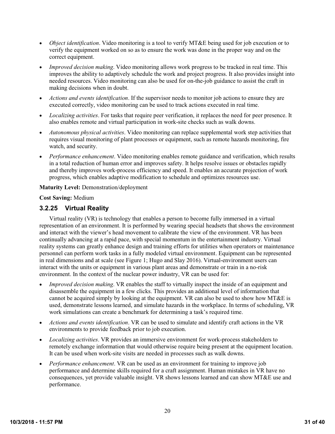- *Object identification*. Video monitoring is a tool to verify MT&E being used for job execution or to verify the equipment worked on so as to ensure the work was done in the proper way and on the correct equipment.
- *Improved decision making*. Video monitoring allows work progress to be tracked in real time. This improves the ability to adaptively schedule the work and project progress. It also provides insight into needed resources. Video monitoring can also be used for on-the-job guidance to assist the craft in making decisions when in doubt.
- *Actions and events identification*. If the supervisor needs to monitor job actions to ensure they are executed correctly, video monitoring can be used to track actions executed in real time.
- *Localizing activities*. For tasks that require peer verification, it replaces the need for peer presence. It also enables remote and virtual participation in work-site checks such as walk downs.
- *Autonomous physical activities*. Video monitoring can replace supplemental work step activities that requires visual monitoring of plant processes or equipment, such as remote hazards monitoring, fire watch, and security.
- *Performance enhancement*. Video monitoring enables remote guidance and verification, which results in a total reduction of human error and improves safety. It helps resolve issues or obstacles rapidly and thereby improves work-process efficiency and speed. It enables an accurate projection of work progress, which enables adaptive modification to schedule and optimizes resources use.

#### **Maturity Level:** Demonstration/deployment

**Cost Saving:** Medium

## <span id="page-30-0"></span>**3.2.25 Virtual Reality**

Virtual reality (VR) is technology that enables a person to become fully immersed in a virtual representation of an environment. It is performed by wearing special headsets that shows the environment and interact with the viewer's head movement to calibrate the view of the environment. VR has been continually advancing at a rapid pace, with special momentum in the entertainment industry. Virtual reality systems can greatly enhance design and training efforts for utilities when operators or maintenance personnel can perform work tasks in a fully modeled virtual environment. Equipment can be represented in real dimensions and at scale (see [Figure](#page-31-2) 1; Hugo and Slay 2016). Virtual-environment users can interact with the units or equipment in various plant areas and demonstrate or train in a no-risk environment. In the context of the nuclear power industry, VR can be used for:

- *Improved decision making*. VR enables the staff to virtually inspect the inside of an equipment and disassemble the equipment in a few clicks. This provides an additional level of information that cannot be acquired simply by looking at the equipment. VR can also be used to show how MT&E is used, demonstrate lessons learned, and simulate hazards in the workplace. In terms of scheduling, VR work simulations can create a benchmark for determining a task's required time.
- *Actions and events identification*. VR can be used to simulate and identify craft actions in the VR environments to provide feedback prior to job execution.
- *Localizing activities*. VR provides an immersive environment for work-process stakeholders to remotely exchange information that would otherwise require being present at the equipment location. It can be used when work-site visits are needed in processes such as walk downs.
- *Performance enhancement*. VR can be used as an environment for training to improve job performance and determine skills required for a craft assignment. Human mistakes in VR have no consequences, yet provide valuable insight. VR shows lessons learned and can show MT&E use and performance.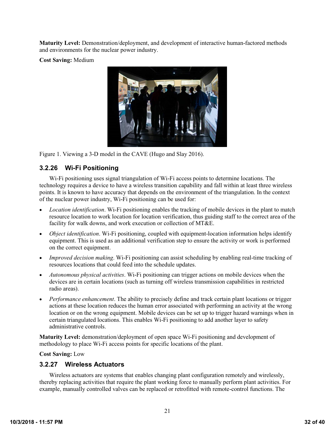**Maturity Level:** Demonstration/deployment, and development of interactive human-factored methods and environments for the nuclear power industry.

**Cost Saving:** Medium



<span id="page-31-2"></span>Figure 1. Viewing a 3-D model in the CAVE (Hugo and Slay 2016).

# <span id="page-31-0"></span>**3.2.26 Wi-Fi Positioning**

Wi-Fi positioning uses signal triangulation of Wi-Fi access points to determine locations. The technology requires a device to have a wireless transition capability and fall within at least three wireless points. It is known to have accuracy that depends on the environment of the triangulation. In the context of the nuclear power industry, Wi-Fi positioning can be used for:

- *Location identification*. Wi-Fi positioning enables the tracking of mobile devices in the plant to match resource location to work location for location verification, thus guiding staff to the correct area of the facility for walk downs, and work execution or collection of MT&E.
- *Object identification*. Wi-Fi positioning, coupled with equipment-location information helps identify equipment. This is used as an additional verification step to ensure the activity or work is performed on the correct equipment.
- *Improved decision making*. Wi-Fi positioning can assist scheduling by enabling real-time tracking of resources locations that could feed into the schedule updates.
- *Autonomous physical activities*. Wi-Fi positioning can trigger actions on mobile devices when the devices are in certain locations (such as turning off wireless transmission capabilities in restricted radio areas).
- *Performance enhancement*. The ability to precisely define and track certain plant locations or trigger actions at these location reduces the human error associated with performing an activity at the wrong location or on the wrong equipment. Mobile devices can be set up to trigger hazard warnings when in certain triangulated locations. This enables Wi-Fi positioning to add another layer to safety administrative controls.

**Maturity Level:** demonstration/deployment of open space Wi-Fi positioning and development of methodology to place Wi-Fi access points for specific locations of the plant.

**Cost Saving:** Low

# <span id="page-31-1"></span>**3.2.27 Wireless Actuators**

Wireless actuators are systems that enables changing plant configuration remotely and wirelessly, thereby replacing activities that require the plant working force to manually perform plant activities. For example, manually controlled valves can be replaced or retrofitted with remote-control functions. The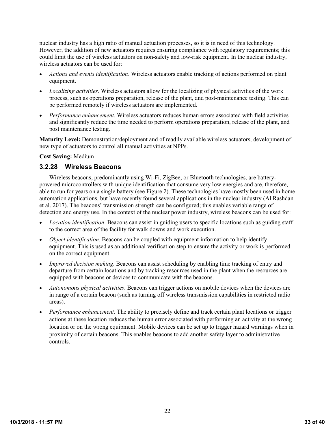nuclear industry has a high ratio of manual actuation processes, so it is in need of this technology. However, the addition of new actuators requires ensuring compliance with regulatory requirements; this could limit the use of wireless actuators on non-safety and low-risk equipment. In the nuclear industry, wireless actuators can be used for:

- *Actions and events identification*. Wireless actuators enable tracking of actions performed on plant equipment.
- *Localizing activities*. Wireless actuators allow for the localizing of physical activities of the work process, such as operations preparation, release of the plant, and post-maintenance testing. This can be performed remotely if wireless actuators are implemented.
- *Performance enhancement*. Wireless actuators reduces human errors associated with field activities and significantly reduce the time needed to perform operations preparation, release of the plant, and post maintenance testing.

**Maturity Level:** Demonstration/deployment and of readily available wireless actuators, development of new type of actuators to control all manual activities at NPPs.

#### **Cost Saving:** Medium

#### <span id="page-32-0"></span>**3.2.28 Wireless Beacons**

Wireless beacons, predominantly using Wi-Fi, ZigBee, or Bluetooth technologies, are batterypowered microcontrollers with unique identification that consume very low energies and are, therefore, able to run for years on a single battery (see [Figure](#page-33-2) 2). These technologies have mostly been used in home automation applications, but have recently found several applications in the nuclear industry (Al Rashdan et al. 2017). The beacons' transmission strength can be configured; this enables variable range of detection and energy use. In the context of the nuclear power industry, wireless beacons can be used for:

- *Location identification*. Beacons can assist in guiding users to specific locations such as guiding staff to the correct area of the facility for walk downs and work execution.
- *Object identification*. Beacons can be coupled with equipment information to help identify equipment. This is used as an additional verification step to ensure the activity or work is performed on the correct equipment.
- *Improved decision making*. Beacons can assist scheduling by enabling time tracking of entry and departure from certain locations and by tracking resources used in the plant when the resources are equipped with beacons or devices to communicate with the beacons.
- *Autonomous physical activities*. Beacons can trigger actions on mobile devices when the devices are in range of a certain beacon (such as turning off wireless transmission capabilities in restricted radio areas).
- *Performance enhancement*. The ability to precisely define and track certain plant locations or trigger actions at these location reduces the human error associated with performing an activity at the wrong location or on the wrong equipment. Mobile devices can be set up to trigger hazard warnings when in proximity of certain beacons. This enables beacons to add another safety layer to administrative controls.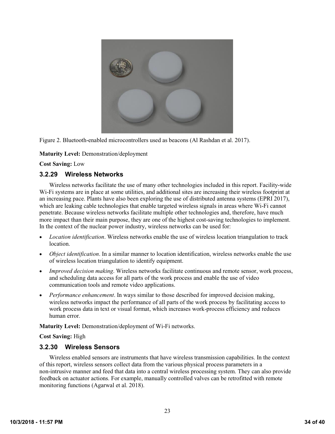

<span id="page-33-2"></span>Figure 2. Bluetooth-enabled microcontrollers used as beacons (Al Rashdan et al. 2017).

**Maturity Level:** Demonstration/deployment

**Cost Saving:** Low

## <span id="page-33-0"></span>**3.2.29 Wireless Networks**

Wireless networks facilitate the use of many other technologies included in this report. Facility-wide Wi-Fi systems are in place at some utilities, and additional sites are increasing their wireless footprint at an increasing pace. Plants have also been exploring the use of distributed antenna systems (EPRI 2017), which are leaking cable technologies that enable targeted wireless signals in areas where Wi-Fi cannot penetrate. Because wireless networks facilitate multiple other technologies and, therefore, have much more impact than their main purpose, they are one of the highest cost-saving technologies to implement. In the context of the nuclear power industry, wireless networks can be used for:

- *Location identification*. Wireless networks enable the use of wireless location triangulation to track location.
- *Object identification*. In a similar manner to location identification, wireless networks enable the use of wireless location triangulation to identify equipment.
- *Improved decision making*. Wireless networks facilitate continuous and remote sensor, work process, and scheduling data access for all parts of the work process and enable the use of video communication tools and remote video applications.
- *Performance enhancement*. In ways similar to those described for improved decision making, wireless networks impact the performance of all parts of the work process by facilitating access to work process data in text or visual format, which increases work-process efficiency and reduces human error.

**Maturity Level:** Demonstration/deployment of Wi-Fi networks.

**Cost Saving:** High

## <span id="page-33-1"></span>**3.2.30 Wireless Sensors**

Wireless enabled sensors are instruments that have wireless transmission capabilities. In the context of this report, wireless sensors collect data from the various physical process parameters in a non-intrusive manner and feed that data into a central wireless processing system. They can also provide feedback on actuator actions. For example, manually controlled valves can be retrofitted with remote monitoring functions (Agarwal et al. 2018).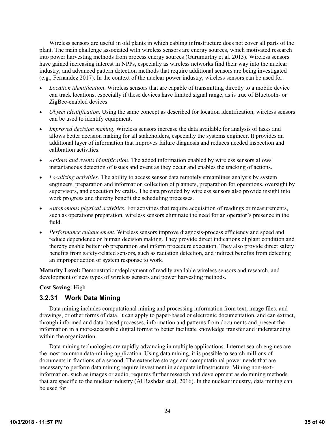Wireless sensors are useful in old plants in which cabling infrastructure does not cover all parts of the plant. The main challenge associated with wireless sensors are energy sources, which motivated research into power harvesting methods from process energy sources (Gurumurthy et al. 2013). Wireless sensors have gained increasing interest in NPPs, especially as wireless networks find their way into the nuclear industry, and advanced pattern detection methods that require additional sensors are being investigated (e.g., Fernandez 2017). In the context of the nuclear power industry, wireless sensors can be used for:

- *Location identification*. Wireless sensors that are capable of transmitting directly to a mobile device can track locations, especially if these devices have limited signal range, as is true of Bluetooth- or ZigBee-enabled devices.
- *Object identification*. Using the same concept as described for location identification, wireless sensors can be used to identify equipment.
- *Improved decision making*. Wireless sensors increase the data available for analysis of tasks and allows better decision making for all stakeholders, especially the systems engineer. It provides an additional layer of information that improves failure diagnosis and reduces needed inspection and calibration activities.
- *Actions and events identification*. The added information enabled by wireless sensors allows instantaneous detection of issues and event as they occur and enables the tracking of actions.
- *Localizing activities*. The ability to access sensor data remotely streamlines analysis by system engineers, preparation and information collection of planners, preparation for operations, oversight by supervisors, and execution by crafts. The data provided by wireless sensors also provide insight into work progress and thereby benefit the scheduling processes.
- *Autonomous physical activities*. For activities that require acquisition of readings or measurements, such as operations preparation, wireless sensors eliminate the need for an operator's presence in the field.
- *Performance enhancement*. Wireless sensors improve diagnosis-process efficiency and speed and reduce dependence on human decision making. They provide direct indications of plant condition and thereby enable better job preparation and inform procedure execution. They also provide direct safety benefits from safety-related sensors, such as radiation detection, and indirect benefits from detecting an improper action or system response to work.

**Maturity Level:** Demonstration/deployment of readily available wireless sensors and research, and development of new types of wireless sensors and power harvesting methods.

#### **Cost Saving:** High

#### <span id="page-34-0"></span>**3.2.31 Work Data Mining**

Data mining includes computational mining and processing information from text, image files, and drawings, or other forms of data. It can apply to paper-based or electronic documentation, and can extract, through informed and data-based processes, information and patterns from documents and present the information in a more-accessible digital format to better facilitate knowledge transfer and understanding within the organization.

Data-mining technologies are rapidly advancing in multiple applications. Internet search engines are the most common data-mining application. Using data mining, it is possible to search millions of documents in fractions of a second. The extensive storage and computational power needs that are necessary to perform data mining require investment in adequate infrastructure. Mining non-textinformation, such as images or audio, requires further research and development as do mining methods that are specific to the nuclear industry (Al Rashdan et al. 2016). In the nuclear industry, data mining can be used for: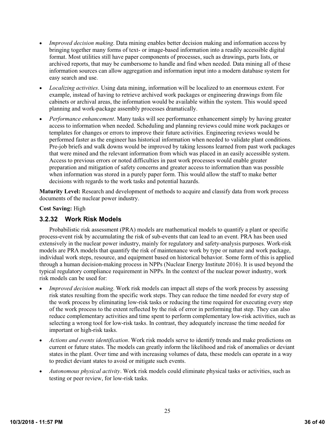- *Improved decision making*. Data mining enables better decision making and information access by bringing together many forms of text- or image-based information into a readily accessible digital format. Most utilities still have paper components of processes, such as drawings, parts lists, or archived reports, that may be cumbersome to handle and find when needed. Data mining all of these information sources can allow aggregation and information input into a modern database system for easy search and use.
- *Localizing activities*. Using data mining, information will be localized to an enormous extent. For example, instead of having to retrieve archived work packages or engineering drawings from file cabinets or archival areas, the information would be available within the system. This would speed planning and work-package assembly processes dramatically.
- *Performance enhancement*. Many tasks will see performance enhancement simply by having greater access to information when needed. Scheduling and planning reviews could mine work packages or templates for changes or errors to improve their future activities. Engineering reviews would be performed faster as the engineer has historical information when needed to validate plant conditions. Pre-job briefs and walk downs would be improved by taking lessons learned from past work packages that were mined and the relevant information from which was placed in an easily accessible system. Access to previous errors or noted difficulties in past work processes would enable greater preparation and mitigation of safety concerns and greater access to information than was possible when information was stored in a purely paper form. This would allow the staff to make better decisions with regards to the work tasks and potential hazards.

**Maturity Level:** Research and development of methods to acquire and classify data from work process documents of the nuclear power industry.

#### **Cost Saving:** High

## <span id="page-35-0"></span>**3.2.32 Work Risk Models**

Probabilistic risk assessment (PRA) models are mathematical models to quantify a plant or specific process-event risk by accumulating the risk of sub-events that can lead to an event. PRA has been used extensively in the nuclear power industry, mainly for regulatory and safety-analysis purposes. Work-risk models are PRA models that quantify the risk of maintenance work by type or nature and work package, individual work steps, resource, and equipment based on historical behavior. Some form of this is applied through a human decision-making process in NPPs (Nuclear Energy Institute 2016). It is used beyond the typical regulatory compliance requirement in NPPs. In the context of the nuclear power industry, work risk models can be used for:

- *Improved decision making*. Work risk models can impact all steps of the work process by assessing risk states resulting from the specific work steps. They can reduce the time needed for every step of the work process by eliminating low-risk tasks or reducing the time required for executing every step of the work process to the extent reflected by the risk of error in performing that step. They can also reduce complementary activities and time spent to perform complementary low-risk activities, such as selecting a wrong tool for low-risk tasks. In contrast, they adequately increase the time needed for important or high-risk tasks.
- *Actions and events identification*. Work risk models serve to identify trends and make predictions on current or future states. The models can greatly inform the likelihood and risk of anomalies or deviant states in the plant. Over time and with increasing volumes of data, these models can operate in a way to predict deviant states to avoid or mitigate such events.
- *Autonomous physical activity*. Work risk models could eliminate physical tasks or activities, such as testing or peer review, for low-risk tasks.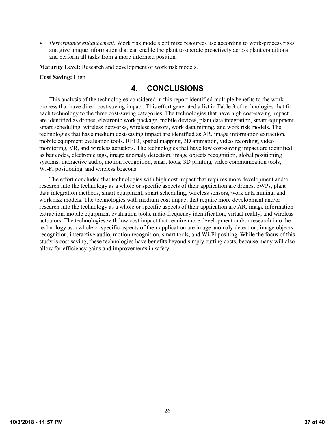*Performance enhancement*. Work risk models optimize resources use according to work-process risks and give unique information that can enable the plant to operate proactively across plant conditions and perform all tasks from a more informed position.

**Maturity Level:** Research and development of work risk models.

#### <span id="page-36-0"></span>**Cost Saving:** High

# **4. CONCLUSIONS**

This analysis of the technologies considered in this report identified multiple benefits to the work process that have direct cost-saving impact. This effort generated a list i[n Table](#page-37-0) 3 of technologies that fit each technology to the three cost-saving categories. The technologies that have high cost-saving impact are identified as drones, electronic work package, mobile devices, plant data integration, smart equipment, smart scheduling, wireless networks, wireless sensors, work data mining, and work risk models. The technologies that have medium cost-saving impact are identified as AR, image information extraction, mobile equipment evaluation tools, RFID, spatial mapping, 3D animation, video recording, video monitoring, VR, and wireless actuators. The technologies that have low cost-saving impact are identified as bar codes, electronic tags, image anomaly detection, image objects recognition, global positioning systems, interactive audio, motion recognition, smart tools, 3D printing, video communication tools, Wi-Fi positioning, and wireless beacons.

The effort concluded that technologies with high cost impact that requires more development and/or research into the technology as a whole or specific aspects of their application are drones, eWPs, plant data integration methods, smart equipment, smart scheduling, wireless sensors, work data mining, and work risk models. The technologies with medium cost impact that require more development and/or research into the technology as a whole or specific aspects of their application are AR, image information extraction, mobile equipment evaluation tools, radio-frequency identification, virtual reality, and wireless actuators. The technologies with low cost impact that require more development and/or research into the technology as a whole or specific aspects of their application are image anomaly detection, image objects recognition, interactive audio, motion recognition, smart tools, and Wi-Fi positing. While the focus of this study is cost saving, these technologies have benefits beyond simply cutting costs, because many will also allow for efficiency gains and improvements in safety.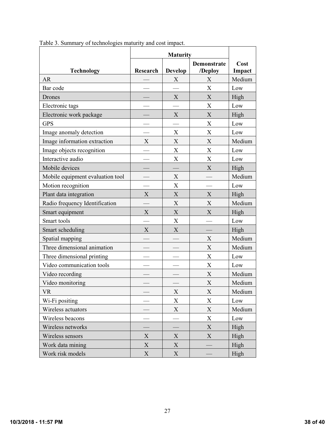|                                  | <b>Maturity</b> |                           |                               |                |
|----------------------------------|-----------------|---------------------------|-------------------------------|----------------|
| <b>Technology</b>                | <b>Research</b> | <b>Develop</b>            | <b>Demonstrate</b><br>/Deploy | Cost<br>Impact |
| <b>AR</b>                        |                 | X                         | X                             | Medium         |
| Bar code                         |                 |                           | X                             | Low            |
| Drones                           |                 | X                         | X                             | High           |
| Electronic tags                  |                 |                           | X                             | Low            |
| Electronic work package          |                 | X                         | $\boldsymbol{X}$              | High           |
| <b>GPS</b>                       |                 |                           | X                             | Low            |
| Image anomaly detection          |                 | X                         | X                             | Low            |
| Image information extraction     | X               | X                         | $\boldsymbol{\mathrm{X}}$     | Medium         |
| Image objects recognition        |                 | $\boldsymbol{\mathrm{X}}$ | X                             | Low            |
| Interactive audio                |                 | X                         | X                             | Low            |
| Mobile devices                   |                 |                           | $\boldsymbol{X}$              | High           |
| Mobile equipment evaluation tool |                 | X                         |                               | Medium         |
| Motion recognition               |                 | X                         |                               | Low            |
| Plant data integration           | $\mathbf X$     | X                         | X                             | High           |
| Radio frequency Identification   |                 | X                         | X                             | Medium         |
| Smart equipment                  | X               | X                         | X                             | High           |
| Smart tools                      |                 | $\boldsymbol{\mathrm{X}}$ |                               | Low            |
| Smart scheduling                 | X               | X                         |                               | High           |
| Spatial mapping                  |                 |                           | X                             | Medium         |
| Three dimensional animation      |                 |                           | X                             | Medium         |
| Three dimensional printing       |                 |                           | $\mathbf X$                   | Low            |
| Video communication tools        |                 |                           | X                             | Low            |
| Video recording                  |                 |                           | X                             | Medium         |
| Video monitoring                 |                 |                           | X                             | Medium         |
| <b>VR</b>                        |                 | $\mathbf X$               | X                             | Medium         |
| Wi-Fi positing                   |                 | X                         | X                             | Low            |
| Wireless actuators               |                 | X                         | $\mathbf X$                   | Medium         |
| Wireless beacons                 |                 |                           | $\boldsymbol{\mathrm{X}}$     | Low            |
| Wireless networks                |                 |                           | $\boldsymbol{\mathrm{X}}$     | High           |
| Wireless sensors                 | $\mathbf X$     | X                         | X                             | High           |
| Work data mining                 | $\mathbf X$     | X                         |                               | High           |
| Work risk models                 | $\mathbf X$     | X                         |                               | High           |

<span id="page-37-0"></span>Table 3. Summary of technologies maturity and cost impact.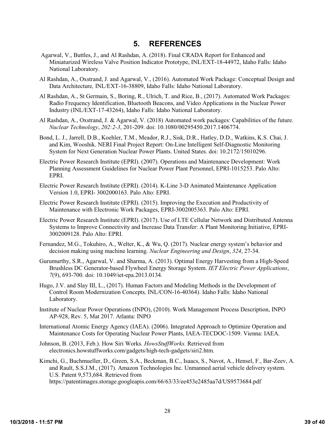# **5. REFERENCES**

- <span id="page-38-0"></span>Agarwal, V., Buttles, J., and Al Rashdan, A. (2018). Final CRADA Report for Enhanced and Miniaturized Wireless Valve Position Indicator Prototype, INL/EXT-18-44972, Idaho Falls: Idaho National Laboratory.
- Al Rashdan, A., Oxstrand, J. and Agarwal, V., (2016). Automated Work Package: Conceptual Design and Data Architecture*,* INL/EXT-16-38809, Idaho Falls: Idaho National Laboratory.
- Al Rashdan, A., St Germain, S., Boring, R., Ulrich, T. and Rice, B., (2017). Automated Work Packages: Radio Frequency Identification, Bluetooth Beacons, and Video Applications in the Nuclear Power Industry (INL/EXT-17-43264), Idaho Falls: Idaho National Laboratory.
- Al Rashdan, A., Oxstrand, J. & Agarwal, V. (2018) Automated work packages: Capabilities of the future. *Nuclear Technology*, *202:2-3*, 201-209. doi: 10.1080/00295450.2017.1406774.
- Bond, L. J., Jarrell, D.B., Koehler, T.M., Meador, R.J., Sisk, D.R., Hatley, D.D., Watkins, K.S. Chai, J. and Kim, Wooshik. NERI Final Project Report: On-Line Intelligent Self-Diagnostic Monitoring System for Next Generation Nuclear Power Plants. United States. doi: 10.2172/15010296.
- Electric Power Research Institute (EPRI). (2007). Operations and Maintenance Development: Work Planning Assessment Guidelines for Nuclear Power Plant Personnel, EPRI-1015253. Palo Alto: EPRI.
- Electric Power Research Institute (EPRI). (2014). K-Line 3-D Animated Maintenance Application Version 1.0, EPRI- 3002000163. Palo Alto: EPRI.
- Electric Power Research Institute (EPRI). (2015). Improving the Execution and Productivity of Maintenance with Electronic Work Packages, EPRI-3002005363. Palo Alto: EPRI.
- Electric Power Research Institute (EPRI). (2017). Use of LTE Cellular Network and Distributed Antenna Systems to Improve Connectivity and Increase Data Transfer: A Plant Monitoring Initiative, EPRI-3002009128. Palo Alto: EPRI.
- Fernandez, M.G., Tokuhiro, A., Welter, K., & Wu, Q. (2017). Nuclear energy system's behavior and decision making using machine learning. *Nuclear Engineering and Design*, *324*, 27-34.
- Gurumurthy, S.R., Agarwal, V. and Sharma, A. (2013). Optimal Energy Harvesting from a High-Speed Brushless DC Generator-based Flywheel Energy Storage System. *IET Electric Power Applications*, *7*(9), 693-700. doi: 10.1049/iet-epa.2013.0134.
- Hugo, J.V. and Slay III, L., (2017). Human Factors and Modeling Methods in the Development of Control Room Modernization Concepts*,* INL/CON-16-40364). Idaho Falls: Idaho National Laboratory.
- Institute of Nuclear Power Operations (INPO), (2010). Work Management Process Description, INPO AP-928, Rev. 5, Mat 2017. Atlanta: INPO
- International Atomic Energy Agency (IAEA). (2006). Integrated Approach to Optimize Operation and Maintenance Costs for Operating Nuclear Power Plants, IAEA-TECDOC-1509. Vienna: IAEA.
- Johnson, B. (2013, Feb.). How Siri Works*. HowsStuffWorks.* Retrieved from electronics.howstuffworks.com/gadgets/high-tech-gadgets/siri2.htm.
- Kimchi, G., Buchmueller, D., Green, S.A., Beckman, B.C., Isaacs, S., Navot, A., Hensel, F., Bar-Zeev, A. and Rault, S.S.J.M., (2017). Amazon Technologies Inc. Unmanned aerial vehicle delivery system. U.S. Patent 9,573,684. Retrieved from https://patentimages.storage.googleapis.com/66/63/33/ee453e2485aa7d/US9573684.pdf